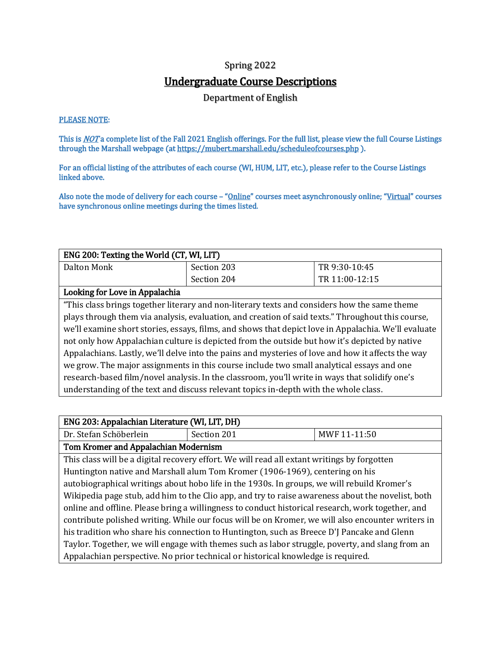## Spring 2022

# Undergraduate Course Descriptions

Department of English

## PLEASE NOTE:

This is <u>NOT</u> a complete list of the Fall 2021 English offerings. For the full list, please view the full Course Listings through the Marshall webpage (at https://mubert.marshall.edu/scheduleofcourses.php).

For an official listing of the attributes of each course (WI, HUM, LIT, etc.), please refer to the Course Listings linked above.

Also note the mode of delivery for each course – "Online" courses meet asynchronously online; "Virtual" courses have synchronous online meetings during the times listed.

| ENG 200: Texting the World (CT, WI, LIT)                                                             |                                                                                              |                |  |
|------------------------------------------------------------------------------------------------------|----------------------------------------------------------------------------------------------|----------------|--|
| <b>Dalton Monk</b>                                                                                   | Section 203                                                                                  | TR 9:30-10:45  |  |
|                                                                                                      | Section 204                                                                                  | TR 11:00-12:15 |  |
| Looking for Love in Appalachia                                                                       |                                                                                              |                |  |
|                                                                                                      | "This class brings together literary and non-literary texts and considers how the same theme |                |  |
| plays through them via analysis, evaluation, and creation of said texts." Throughout this course,    |                                                                                              |                |  |
| we'll examine short stories, essays, films, and shows that depict love in Appalachia. We'll evaluate |                                                                                              |                |  |
| not only how Appalachian culture is depicted from the outside but how it's depicted by native        |                                                                                              |                |  |
| Appalachians. Lastly, we'll delve into the pains and mysteries of love and how it affects the way    |                                                                                              |                |  |
| we grow. The major assignments in this course include two small analytical essays and one            |                                                                                              |                |  |
| research-based film/novel analysis. In the classroom, you'll write in ways that solidify one's       |                                                                                              |                |  |
| understanding of the text and discuss relevant topics in-depth with the whole class.                 |                                                                                              |                |  |

| ENG 203: Appalachian Literature (WI, LIT, DH)                                                     |                                                                                             |              |
|---------------------------------------------------------------------------------------------------|---------------------------------------------------------------------------------------------|--------------|
| Dr. Stefan Schöberlein                                                                            | Section 201                                                                                 | MWF 11-11:50 |
| Tom Kromer and Appalachian Modernism                                                              |                                                                                             |              |
|                                                                                                   | This class will be a digital recovery effort. We will read all extant writings by forgotten |              |
|                                                                                                   | Huntington native and Marshall alum Tom Kromer (1906-1969), centering on his                |              |
| autobiographical writings about hobo life in the 1930s. In groups, we will rebuild Kromer's       |                                                                                             |              |
| Wikipedia page stub, add him to the Clio app, and try to raise awareness about the novelist, both |                                                                                             |              |
| online and offline. Please bring a willingness to conduct historical research, work together, and |                                                                                             |              |
| contribute polished writing. While our focus will be on Kromer, we will also encounter writers in |                                                                                             |              |
| his tradition who share his connection to Huntington, such as Breece D'J Pancake and Glenn        |                                                                                             |              |
| Taylor. Together, we will engage with themes such as labor struggle, poverty, and slang from an   |                                                                                             |              |
| Appalachian perspective. No prior technical or historical knowledge is required.                  |                                                                                             |              |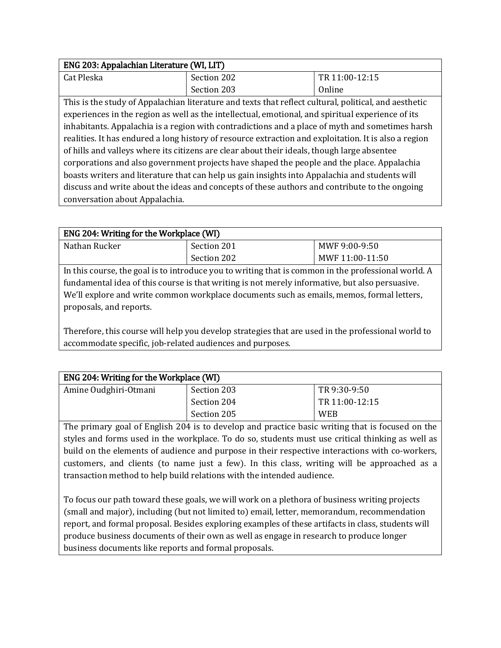| ENG 203: Appalachian Literature (WI, LIT)                                                             |                                                                                                       |                |
|-------------------------------------------------------------------------------------------------------|-------------------------------------------------------------------------------------------------------|----------------|
| Cat Pleska                                                                                            | Section 202                                                                                           | TR 11:00-12:15 |
|                                                                                                       | Section 203                                                                                           | Online         |
|                                                                                                       | This is the study of Appalachian literature and texts that reflect cultural, political, and aesthetic |                |
|                                                                                                       | experiences in the region as well as the intellectual, emotional, and spiritual experience of its     |                |
| inhabitants. Appalachia is a region with contradictions and a place of myth and sometimes harsh       |                                                                                                       |                |
| realities. It has endured a long history of resource extraction and exploitation. It is also a region |                                                                                                       |                |
| of hills and valleys where its citizens are clear about their ideals, though large absentee           |                                                                                                       |                |
| corporations and also government projects have shaped the people and the place. Appalachia            |                                                                                                       |                |
| boasts writers and literature that can help us gain insights into Appalachia and students will        |                                                                                                       |                |
| discuss and write about the ideas and concepts of these authors and contribute to the ongoing         |                                                                                                       |                |
| conversation about Appalachia.                                                                        |                                                                                                       |                |

| <b>ENG 204: Writing for the Workplace (WI)</b> |             |                 |
|------------------------------------------------|-------------|-----------------|
| Nathan Rucker                                  | Section 201 | MWF 9:00-9:50   |
|                                                | Section 202 | MWF 11:00-11:50 |

In this course, the goal is to introduce you to writing that is common in the professional world. A fundamental idea of this course is that writing is not merely informative, but also persuasive. We'll explore and write common workplace documents such as emails, memos, formal letters, proposals, and reports.

Therefore, this course will help you develop strategies that are used in the professional world to accommodate specific, job-related audiences and purposes.

| ENG 204: Writing for the Workplace (WI) |             |                |
|-----------------------------------------|-------------|----------------|
| Amine Oudghiri-Otmani                   | Section 203 | TR 9:30-9:50   |
|                                         | Section 204 | TR 11:00-12:15 |
|                                         | Section 205 | <b>WEB</b>     |

The primary goal of English 204 is to develop and practice basic writing that is focused on the styles and forms used in the workplace. To do so, students must use critical thinking as well as build on the elements of audience and purpose in their respective interactions with co-workers, customers, and clients (to name just a few). In this class, writing will be approached as a transaction method to help build relations with the intended audience.

To focus our path toward these goals, we will work on a plethora of business writing projects (small and major), including (but not limited to) email, letter, memorandum, recommendation report, and formal proposal. Besides exploring examples of these artifacts in class, students will produce business documents of their own as well as engage in research to produce longer business documents like reports and formal proposals.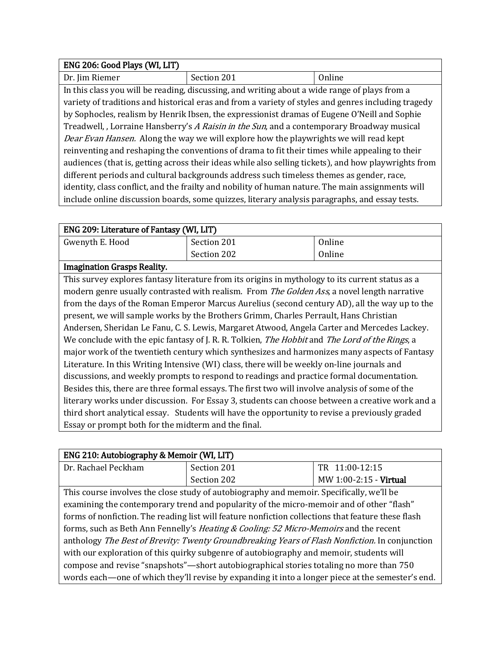| ENG 206: Good Plays (WI, LIT)                                                                        |                                                                                                     |        |
|------------------------------------------------------------------------------------------------------|-----------------------------------------------------------------------------------------------------|--------|
| Dr. Jim Riemer                                                                                       | Section 201                                                                                         | Online |
|                                                                                                      | In this class you will be reading, discussing, and writing about a wide range of plays from a       |        |
|                                                                                                      | variety of traditions and historical eras and from a variety of styles and genres including tragedy |        |
|                                                                                                      | by Sophocles, realism by Henrik Ibsen, the expressionist dramas of Eugene O'Neill and Sophie        |        |
| Treadwell, , Lorraine Hansberry's A Raisin in the Sun, and a contemporary Broadway musical           |                                                                                                     |        |
| Dear Evan Hansen. Along the way we will explore how the playwrights we will read kept                |                                                                                                     |        |
| reinventing and reshaping the conventions of drama to fit their times while appealing to their       |                                                                                                     |        |
| audiences (that is, getting across their ideas while also selling tickets), and how playwrights from |                                                                                                     |        |
| different periods and cultural backgrounds address such timeless themes as gender, race,             |                                                                                                     |        |
| identity, class conflict, and the frailty and nobility of human nature. The main assignments will    |                                                                                                     |        |
| include online discussion boards, some quizzes, literary analysis paragraphs, and essay tests.       |                                                                                                     |        |

| ENG 209: Literature of Fantasy (WI, LIT)                                                                      |                                                                                                     |        |
|---------------------------------------------------------------------------------------------------------------|-----------------------------------------------------------------------------------------------------|--------|
| Gwenyth E. Hood                                                                                               | Section 201                                                                                         | Online |
|                                                                                                               | Section 202                                                                                         | Online |
| <b>Imagination Grasps Reality.</b>                                                                            |                                                                                                     |        |
|                                                                                                               | This survey explores fantasy literature from its origins in mythology to its current status as a    |        |
|                                                                                                               | modern genre usually contrasted with realism. From <i>The Golden Ass</i> , a novel length narrative |        |
|                                                                                                               | from the days of the Roman Emperor Marcus Aurelius (second century AD), all the way up to the       |        |
|                                                                                                               | present, we will sample works by the Brothers Grimm, Charles Perrault, Hans Christian               |        |
| Andersen, Sheridan Le Fanu, C. S. Lewis, Margaret Atwood, Angela Carter and Mercedes Lackey.                  |                                                                                                     |        |
| We conclude with the epic fantasy of J. R. R. Tolkien, <i>The Hobbit</i> and <i>The Lord of the Rings</i> , a |                                                                                                     |        |
| major work of the twentieth century which synthesizes and harmonizes many aspects of Fantasy                  |                                                                                                     |        |
| Literature. In this Writing Intensive (WI) class, there will be weekly on-line journals and                   |                                                                                                     |        |
| discussions, and weekly prompts to respond to readings and practice formal documentation.                     |                                                                                                     |        |
| Besides this, there are three formal essays. The first two will involve analysis of some of the               |                                                                                                     |        |
| literary works under discussion. For Essay 3, students can choose between a creative work and a               |                                                                                                     |        |
| third short analytical essay. Students will have the opportunity to revise a previously graded                |                                                                                                     |        |
| Essay or prompt both for the midterm and the final.                                                           |                                                                                                     |        |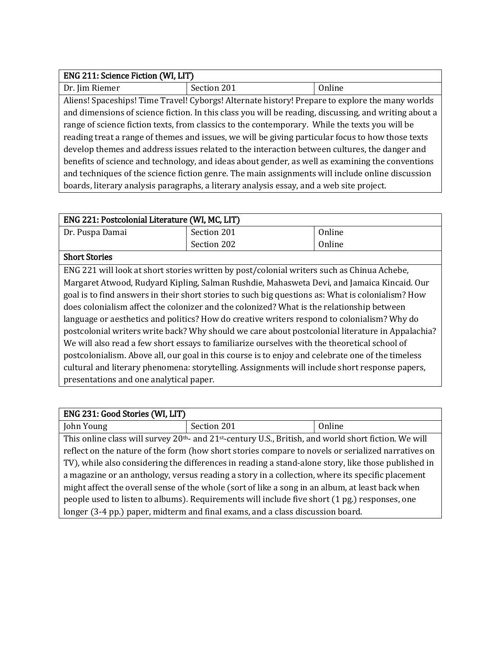| ENG 211: Science Fiction (WI, LIT)                                                                |                                                                                                       |        |  |
|---------------------------------------------------------------------------------------------------|-------------------------------------------------------------------------------------------------------|--------|--|
| Dr. Jim Riemer                                                                                    | Section 201                                                                                           | Online |  |
|                                                                                                   | Aliens! Spaceships! Time Travel! Cyborgs! Alternate history! Prepare to explore the many worlds       |        |  |
|                                                                                                   | and dimensions of science fiction. In this class you will be reading, discussing, and writing about a |        |  |
| range of science fiction texts, from classics to the contemporary. While the texts you will be    |                                                                                                       |        |  |
| reading treat a range of themes and issues, we will be giving particular focus to how those texts |                                                                                                       |        |  |
| develop themes and address issues related to the interaction between cultures, the danger and     |                                                                                                       |        |  |
| benefits of science and technology, and ideas about gender, as well as examining the conventions  |                                                                                                       |        |  |
| and techniques of the science fiction genre. The main assignments will include online discussion  |                                                                                                       |        |  |
| boards, literary analysis paragraphs, a literary analysis essay, and a web site project.          |                                                                                                       |        |  |

| ENG 221: Postcolonial Literature (WI, MC, LIT)                                                    |                                                                                            |        |
|---------------------------------------------------------------------------------------------------|--------------------------------------------------------------------------------------------|--------|
| Dr. Puspa Damai                                                                                   | Section 201                                                                                | Online |
|                                                                                                   | Section 202                                                                                | Online |
| <b>Short Stories</b>                                                                              |                                                                                            |        |
|                                                                                                   | ENG 221 will look at short stories written by post/colonial writers such as Chinua Achebe, |        |
|                                                                                                   | Margaret Atwood, Rudyard Kipling, Salman Rushdie, Mahasweta Devi, and Jamaica Kincaid. Our |        |
| goal is to find answers in their short stories to such big questions as: What is colonialism? How |                                                                                            |        |
| does colonialism affect the colonizer and the colonized? What is the relationship between         |                                                                                            |        |
| language or aesthetics and politics? How do creative writers respond to colonialism? Why do       |                                                                                            |        |
| postcolonial writers write back? Why should we care about postcolonial literature in Appalachia?  |                                                                                            |        |
| We will also read a few short essays to familiarize ourselves with the theoretical school of      |                                                                                            |        |
| postcolonialism. Above all, our goal in this course is to enjoy and celebrate one of the timeless |                                                                                            |        |
| cultural and literary phenomena: storytelling. Assignments will include short response papers,    |                                                                                            |        |
| presentations and one analytical paper.                                                           |                                                                                            |        |

| ENG 231: Good Stories (WI, LIT)                                                                     |                                                                                                          |        |  |
|-----------------------------------------------------------------------------------------------------|----------------------------------------------------------------------------------------------------------|--------|--|
| John Young                                                                                          | Section 201                                                                                              | Online |  |
|                                                                                                     | This online class will survey $20th$ and $21st$ -century U.S., British, and world short fiction. We will |        |  |
|                                                                                                     | reflect on the nature of the form (how short stories compare to novels or serialized narratives on       |        |  |
| TV), while also considering the differences in reading a stand-alone story, like those published in |                                                                                                          |        |  |
| a magazine or an anthology, versus reading a story in a collection, where its specific placement    |                                                                                                          |        |  |
| might affect the overall sense of the whole (sort of like a song in an album, at least back when    |                                                                                                          |        |  |
| people used to listen to albums). Requirements will include five short (1 pg.) responses, one       |                                                                                                          |        |  |
| longer (3-4 pp.) paper, midterm and final exams, and a class discussion board.                      |                                                                                                          |        |  |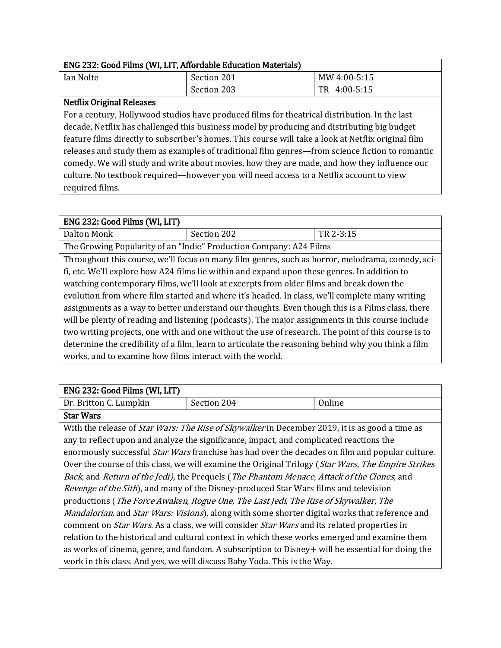| ENG 232: Good Films (WI, LIT, Affordable Education Materials)                                       |                                                                                               |              |  |
|-----------------------------------------------------------------------------------------------------|-----------------------------------------------------------------------------------------------|--------------|--|
| Ian Nolte                                                                                           | Section 201                                                                                   | MW 4:00-5:15 |  |
|                                                                                                     | Section 203                                                                                   | TR 4:00-5:15 |  |
| <b>Netflix Original Releases</b>                                                                    |                                                                                               |              |  |
|                                                                                                     | For a century, Hollywood studios have produced films for theatrical distribution. In the last |              |  |
| decade, Netflix has challenged this business model by producing and distributing big budget         |                                                                                               |              |  |
| feature films directly to subscriber's homes. This course will take a look at Netflix original film |                                                                                               |              |  |
| releases and study them as examples of traditional film genres—from science fiction to romantic     |                                                                                               |              |  |
| comedy. We will study and write about movies, how they are made, and how they influence our         |                                                                                               |              |  |
| culture. No textbook required—however you will need access to a Netflix account to view             |                                                                                               |              |  |
| required films.                                                                                     |                                                                                               |              |  |

| ENG 232: Good Films (WI, LIT)                                                                      |                                                                                                  |           |  |
|----------------------------------------------------------------------------------------------------|--------------------------------------------------------------------------------------------------|-----------|--|
| Dalton Monk                                                                                        | Section 202                                                                                      | TR 2-3:15 |  |
|                                                                                                    | The Growing Popularity of an "Indie" Production Company: A24 Films                               |           |  |
|                                                                                                    | Throughout this course, we'll focus on many film genres, such as horror, melodrama, comedy, sci- |           |  |
|                                                                                                    | fi, etc. We'll explore how A24 films lie within and expand upon these genres. In addition to     |           |  |
|                                                                                                    | watching contemporary films, we'll look at excerpts from older films and break down the          |           |  |
| evolution from where film started and where it's headed. In class, we'll complete many writing     |                                                                                                  |           |  |
| assignments as a way to better understand our thoughts. Even though this is a Films class, there   |                                                                                                  |           |  |
| will be plenty of reading and listening (podcasts). The major assignments in this course include   |                                                                                                  |           |  |
| two writing projects, one with and one without the use of research. The point of this course is to |                                                                                                  |           |  |
| determine the credibility of a film, learn to articulate the reasoning behind why you think a film |                                                                                                  |           |  |
| works, and to examine how films interact with the world.                                           |                                                                                                  |           |  |

## ENG 232: Good Films (WI, LIT)

| $1.10$ 202. 0000 1 mmo ( 11.1, 21.1 ) |             |  |
|---------------------------------------|-------------|--|
| Dr. Britton C. Lumpkin                | Section 204 |  |
| <u>вести.</u>                         |             |  |

Star Wars

.<br>F

With the release of *Star Wars: The Rise of Skywalker* in December 2019, it is as good a time as any to reflect upon and analyze the significance, impact, and complicated reactions the enormously successful *Star Wars* franchise has had over the decades on film and popular culture. Over the course of this class, we will examine the Original Trilogy (Star Wars, The Empire Strikes Back, and Return of the Jedi), the Prequels (The Phantom Menace, Attack of the Clones, and Revenge of the Sith), and many of the Disney-produced Star Wars films and television productions (The Force Awaken, Rogue One, The Last Jedi, The Rise of Skywalker, The Mandalorian, and Star Wars: Visions), along with some shorter digital works that reference and comment on *Star Wars*. As a class, we will consider *Star Wars* and its related properties in relation to the historical and cultural context in which these works emerged and examine them as works of cinema, genre, and fandom. A subscription to Disney+ will be essential for doing the work in this class. And yes, we will discuss Baby Yoda. This is the Way.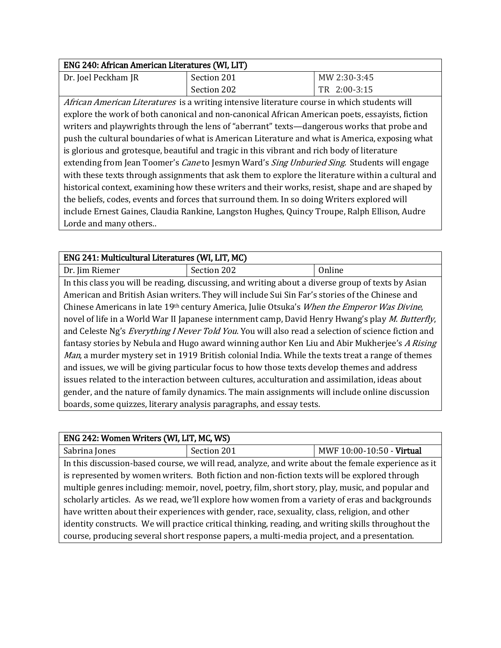| ENG 240: African American Literatures (WI, LIT) |             |              |
|-------------------------------------------------|-------------|--------------|
| Dr. Joel Peckham JR                             | Section 201 | MW 2:30-3:45 |
|                                                 | Section 202 | TR 2:00-3:15 |

African American Literatures is a writing intensive literature course in which students will explore the work of both canonical and non-canonical African American poets, essayists, fiction writers and playwrights through the lens of "aberrant" texts—dangerous works that probe and push the cultural boundaries of what is American Literature and what is America, exposing what is glorious and grotesque, beautiful and tragic in this vibrant and rich body of literature extending from Jean Toomer's Cane to Jesmyn Ward's Sing Unburied Sing. Students will engage with these texts through assignments that ask them to explore the literature within a cultural and historical context, examining how these writers and their works, resist, shape and are shaped by the beliefs, codes, events and forces that surround them. In so doing Writers explored will include Ernest Gaines, Claudia Rankine, Langston Hughes, Quincy Troupe, Ralph Ellison, Audre Lorde and many others..

| ENG 241: Multicultural Literatures (WI, LIT, MC)                                                          |                                                                                                    |        |
|-----------------------------------------------------------------------------------------------------------|----------------------------------------------------------------------------------------------------|--------|
| Dr. Jim Riemer                                                                                            | Section 202                                                                                        | Online |
|                                                                                                           | In this class you will be reading, discussing, and writing about a diverse group of texts by Asian |        |
|                                                                                                           | American and British Asian writers. They will include Sui Sin Far's stories of the Chinese and     |        |
|                                                                                                           | Chinese Americans in late 19th century America, Julie Otsuka's When the Emperor Was Divine,        |        |
|                                                                                                           | novel of life in a World War II Japanese internment camp, David Henry Hwang's play M. Butterfly,   |        |
| and Celeste Ng's Everything I Never Told You. You will also read a selection of science fiction and       |                                                                                                    |        |
| fantasy stories by Nebula and Hugo award winning author Ken Liu and Abir Mukherjee's A Rising             |                                                                                                    |        |
| <i>Man</i> , a murder mystery set in 1919 British colonial India. While the texts treat a range of themes |                                                                                                    |        |
| and issues, we will be giving particular focus to how those texts develop themes and address              |                                                                                                    |        |
|                                                                                                           | issues related to the interaction between cultures, acculturation and assimilation, ideas about    |        |
|                                                                                                           | gender, and the nature of family dynamics. The main assignments will include online discussion     |        |
|                                                                                                           | boards, some quizzes, literary analysis paragraphs, and essay tests.                               |        |

| ENG 242: Women Writers (WI, LIT, MC, WS)                                                            |                                                                                                     |                           |  |
|-----------------------------------------------------------------------------------------------------|-----------------------------------------------------------------------------------------------------|---------------------------|--|
| Sabrina Jones                                                                                       | Section 201                                                                                         | MWF 10:00-10:50 - Virtual |  |
|                                                                                                     | In this discussion-based course, we will read, analyze, and write about the female experience as it |                           |  |
| is represented by women writers. Both fiction and non-fiction texts will be explored through        |                                                                                                     |                           |  |
| multiple genres including: memoir, novel, poetry, film, short story, play, music, and popular and   |                                                                                                     |                           |  |
| scholarly articles. As we read, we'll explore how women from a variety of eras and backgrounds      |                                                                                                     |                           |  |
| have written about their experiences with gender, race, sexuality, class, religion, and other       |                                                                                                     |                           |  |
| identity constructs. We will practice critical thinking, reading, and writing skills throughout the |                                                                                                     |                           |  |
| course, producing several short response papers, a multi-media project, and a presentation.         |                                                                                                     |                           |  |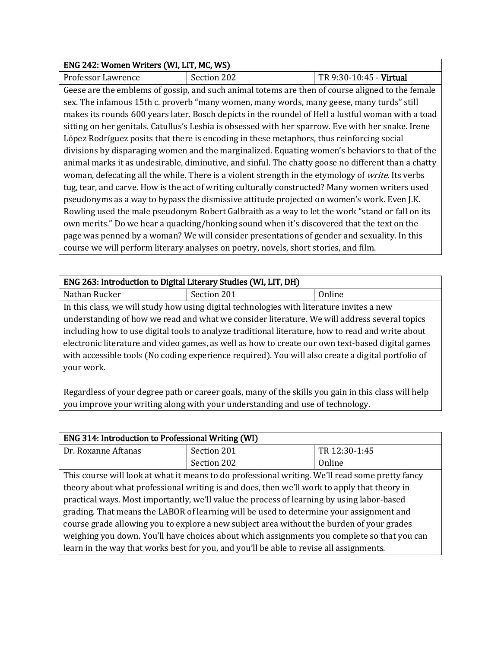## ENG 242: Women Writers (WI, LIT, MC, WS)

Professor Lawrence Section 202 TR 9:30-10:45 - Virtual

Geese are the emblems of gossip, and such animal totems are then of course aligned to the female sex. The infamous 15th c. proverb "many women, many words, many geese, many turds" still makes its rounds 600 years later. Bosch depicts in the roundel of Hell a lustful woman with a toad sitting on her genitals. Catullus's Lesbia is obsessed with her sparrow. Eve with her snake. Irene López Rodríguez posits that there is encoding in these metaphors, thus reinforcing social divisions by disparaging women and the marginalized. Equating women's behaviors to that of the animal marks it as undesirable, diminutive, and sinful. The chatty goose no different than a chatty woman, defecating all the while. There is a violent strength in the etymology of write. Its verbs tug, tear, and carve. How is the act of writing culturally constructed? Many women writers used pseudonyms as a way to bypass the dismissive attitude projected on women's work. Even J.K. Rowling used the male pseudonym Robert Galbraith as a way to let the work "stand or fall on its own merits." Do we hear a quacking/honking sound when it's discovered that the text on the page was penned by a woman? We will consider presentations of gender and sexuality. In this course we will perform literary analyses on poetry, novels, short stories, and film.

| ENG 263: Introduction to Digital Literary Studies (WI, LIT, DH)                                    |                                                                                           |        |  |
|----------------------------------------------------------------------------------------------------|-------------------------------------------------------------------------------------------|--------|--|
| Nathan Rucker                                                                                      | Section 201                                                                               | Online |  |
|                                                                                                    | In this class, we will study how using digital technologies with literature invites a new |        |  |
| understanding of how we read and what we consider literature. We will address several topics       |                                                                                           |        |  |
| including how to use digital tools to analyze traditional literature, how to read and write about  |                                                                                           |        |  |
| electronic literature and video games, as well as how to create our own text-based digital games   |                                                                                           |        |  |
| with accessible tools (No coding experience required). You will also create a digital portfolio of |                                                                                           |        |  |
| your work.                                                                                         |                                                                                           |        |  |
|                                                                                                    |                                                                                           |        |  |

Regardless of your degree path or career goals, many of the skills you gain in this class will help you improve your writing along with your understanding and use of technology.

| <b>ENG 314: Introduction to Professional Writing (WI)</b>                                   |                                                                                                 |               |
|---------------------------------------------------------------------------------------------|-------------------------------------------------------------------------------------------------|---------------|
| Dr. Roxanne Aftanas                                                                         | Section 201                                                                                     | TR 12:30-1:45 |
|                                                                                             | Section 202                                                                                     | Online        |
|                                                                                             | This course will look at what it means to do professional writing. We'll read some pretty fancy |               |
| theory about what professional writing is and does, then we'll work to apply that theory in |                                                                                                 |               |
| practical ways. Most importantly, we'll value the process of learning by using labor-based  |                                                                                                 |               |
| grading. That means the LABOR of learning will be used to determine your assignment and     |                                                                                                 |               |
| course grade allowing you to explore a new subject area without the burden of your grades   |                                                                                                 |               |
| weighing you down. You'll have choices about which assignments you complete so that you can |                                                                                                 |               |
| learn in the way that works best for you, and you'll be able to revise all assignments.     |                                                                                                 |               |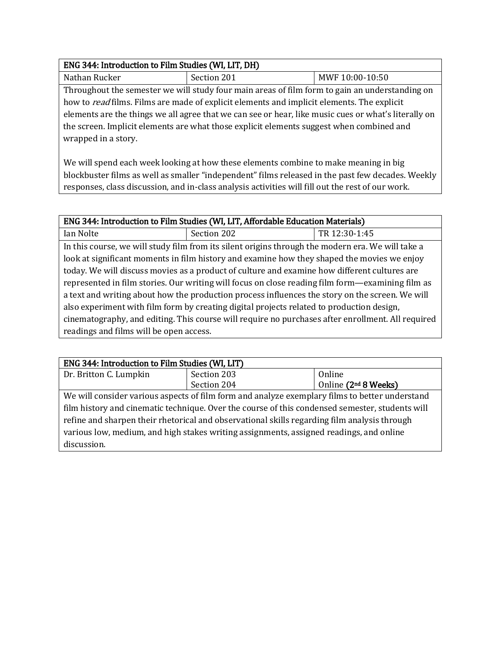## ENG 344: Introduction to Film Studies (WI, LIT, DH)

Throughout the semester we will study four main areas of film form to gain an understanding on how to *read* films. Films are made of explicit elements and implicit elements. The explicit elements are the things we all agree that we can see or hear, like music cues or what's literally on the screen. Implicit elements are what those explicit elements suggest when combined and wrapped in a story.

MWF 10:00-10:50

We will spend each week looking at how these elements combine to make meaning in big blockbuster films as well as smaller "independent" films released in the past few decades. Weekly responses, class discussion, and in-class analysis activities will fill out the rest of our work.

# j ENG 344: Introduction to Film Studies (WI, LIT, Affordable Education Materials) Ian Nolte Section 202 TR 12:30-1:45 In this course, we will study film from its silent origins through the modern era. We will take a

look at significant moments in film history and examine how they shaped the movies we enjoy today. We will discuss movies as a product of culture and examine how different cultures are represented in film stories. Our writing will focus on close reading film form—examining film as a text and writing about how the production process influences the story on the screen. We will also experiment with film form by creating digital projects related to production design, cinematography, and editing. This course will require no purchases after enrollment. All required readings and films will be open access.

# l, ENG 344: Introduction to Film Studies (WI, LIT)<br>Dr. Britton C. Lumpkin | Section 203

Dr. Britton C. Lumpkin Section 204 Online Online (2nd 8 Weeks) We will consider various aspects of film form and analyze exemplary films to better understand film history and cinematic technique. Over the course of this condensed semester, students will refine and sharpen their rhetorical and observational skills regarding film analysis through various low, medium, and high stakes writing assignments, assigned readings, and online discussion.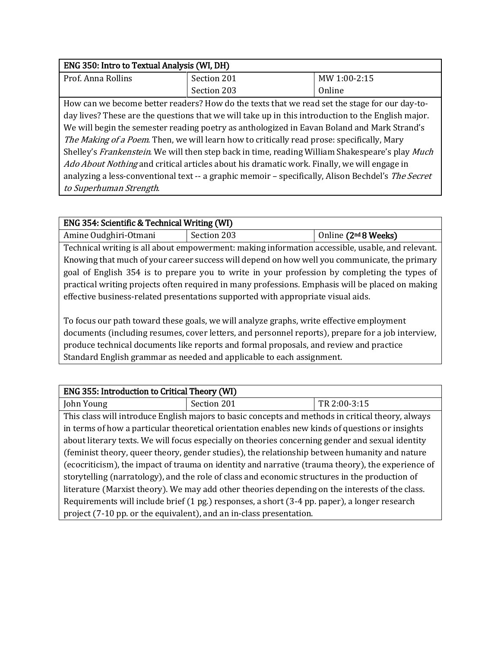| ENG 350: Intro to Textual Analysis (WI, DH)                                                        |                                                                                                    |              |
|----------------------------------------------------------------------------------------------------|----------------------------------------------------------------------------------------------------|--------------|
| Prof. Anna Rollins                                                                                 | Section 201                                                                                        | MW 1:00-2:15 |
|                                                                                                    | Section 203                                                                                        | Online       |
|                                                                                                    | How can we become better readers? How do the texts that we read set the stage for our day-to-      |              |
|                                                                                                    | day lives? These are the questions that we will take up in this introduction to the English major. |              |
| We will begin the semester reading poetry as anthologized in Eavan Boland and Mark Strand's        |                                                                                                    |              |
| The Making of a Poem. Then, we will learn how to critically read prose: specifically, Mary         |                                                                                                    |              |
| Shelley's Frankenstein. We will then step back in time, reading William Shakespeare's play Much    |                                                                                                    |              |
| Ado About Nothing and critical articles about his dramatic work. Finally, we will engage in        |                                                                                                    |              |
| analyzing a less-conventional text -- a graphic memoir - specifically, Alison Bechdel's The Secret |                                                                                                    |              |
| to Superhuman Strength.                                                                            |                                                                                                    |              |

| <b>ENG 354: Scientific &amp; Technical Writing (WI)</b> |  |
|---------------------------------------------------------|--|

| Amine Oudghiri-Otmani                                                                            | Section 203 | $\int$ Online (2 <sup>nd</sup> 8 Weeks) |
|--------------------------------------------------------------------------------------------------|-------------|-----------------------------------------|
| Technical writing is all about empowerment: making information accessible, usable, and relevant. |             |                                         |
| Knowing that much of your career success will depend on how well you communicate, the primary    |             |                                         |
| goal of English 354 is to prepare you to write in your profession by completing the types of     |             |                                         |

practical writing projects often required in many professions. Emphasis will be placed on making effective business-related presentations supported with appropriate visual aids.

To focus our path toward these goals, we will analyze graphs, write effective employment documents (including resumes, cover letters, and personnel reports), prepare for a job interview, produce technical documents like reports and formal proposals, and review and practice Standard English grammar as needed and applicable to each assignment.

| ENG 355: Introduction to Critical Theory (WI)                                                     |                                                                                                   |              |  |
|---------------------------------------------------------------------------------------------------|---------------------------------------------------------------------------------------------------|--------------|--|
| John Young                                                                                        | Section 201                                                                                       | TR 2:00-3:15 |  |
|                                                                                                   | This class will introduce English majors to basic concepts and methods in critical theory, always |              |  |
|                                                                                                   | in terms of how a particular theoretical orientation enables new kinds of questions or insights   |              |  |
|                                                                                                   | about literary texts. We will focus especially on theories concerning gender and sexual identity  |              |  |
| (feminist theory, queer theory, gender studies), the relationship between humanity and nature     |                                                                                                   |              |  |
| (ecocriticism), the impact of trauma on identity and narrative (trauma theory), the experience of |                                                                                                   |              |  |
| storytelling (narratology), and the role of class and economic structures in the production of    |                                                                                                   |              |  |
| literature (Marxist theory). We may add other theories depending on the interests of the class.   |                                                                                                   |              |  |
|                                                                                                   | Requirements will include brief (1 pg.) responses, a short (3-4 pp. paper), a longer research     |              |  |
|                                                                                                   | project (7-10 pp. or the equivalent), and an in-class presentation.                               |              |  |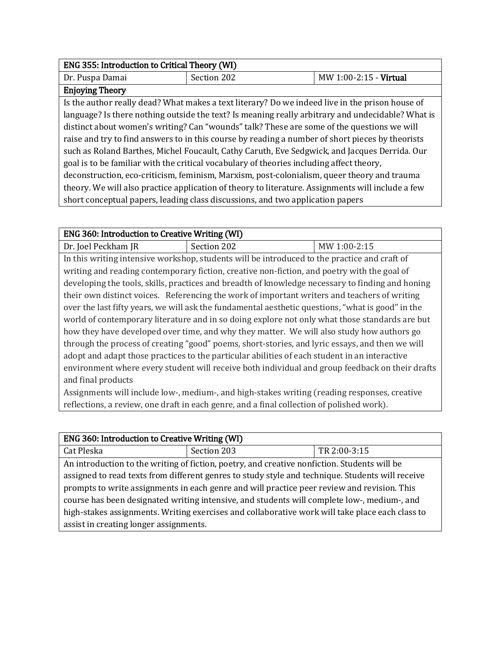| ENG 355: Introduction to Critical Theory (WI) |             |                        |
|-----------------------------------------------|-------------|------------------------|
| Dr. Puspa Damai                               | Section 202 | MW 1:00-2:15 - Virtual |
| <b>Enjoying Theory</b>                        |             |                        |

Is the author really dead? What makes a text literary? Do we indeed live in the prison house of language? Is there nothing outside the text? Is meaning really arbitrary and undecidable? What is distinct about women's writing? Can "wounds" talk? These are some of the questions we will raise and try to find answers to in this course by reading a number of short pieces by theorists such as Roland Barthes, Michel Foucault, Cathy Caruth, Eve Sedgwick, and Jacques Derrida. Our goal is to be familiar with the critical vocabulary of theories including affect theory, deconstruction, eco-criticism, feminism, Marxism, post-colonialism, queer theory and trauma theory. We will also practice application of theory to literature. Assignments will include a few short conceptual papers, leading class discussions, and two application papers

| <b>ENG 360: Introduction to Creative Writing (WI)</b>                                           |                                                                                                   |              |  |
|-------------------------------------------------------------------------------------------------|---------------------------------------------------------------------------------------------------|--------------|--|
| Dr. Joel Peckham JR                                                                             | Section 202                                                                                       | MW 1:00-2:15 |  |
|                                                                                                 | In this writing intensive workshop, students will be introduced to the practice and craft of      |              |  |
|                                                                                                 | writing and reading contemporary fiction, creative non-fiction, and poetry with the goal of       |              |  |
|                                                                                                 | developing the tools, skills, practices and breadth of knowledge necessary to finding and honing  |              |  |
|                                                                                                 | their own distinct voices. Referencing the work of important writers and teachers of writing      |              |  |
|                                                                                                 | over the last fifty years, we will ask the fundamental aesthetic questions, "what is good" in the |              |  |
| world of contemporary literature and in so doing explore not only what those standards are but  |                                                                                                   |              |  |
| how they have developed over time, and why they matter. We will also study how authors go       |                                                                                                   |              |  |
| through the process of creating "good" poems, short-stories, and lyric essays, and then we will |                                                                                                   |              |  |
| adopt and adapt those practices to the particular abilities of each student in an interactive   |                                                                                                   |              |  |
|                                                                                                 | environment where every student will receive both individual and group feedback on their drafts   |              |  |
| and final products                                                                              |                                                                                                   |              |  |
|                                                                                                 | Assignments will include low-, medium-, and high-stakes writing (reading responses, creative      |              |  |
|                                                                                                 | reflections, a review, one draft in each genre, and a final collection of polished work).         |              |  |

| <b>ENG 360: Introduction to Creative Writing (WI)</b>                                            |                                                                                              |              |  |
|--------------------------------------------------------------------------------------------------|----------------------------------------------------------------------------------------------|--------------|--|
| Cat Pleska                                                                                       | Section 203                                                                                  | TR 2:00-3:15 |  |
|                                                                                                  | An introduction to the writing of fiction, poetry, and creative nonfiction. Students will be |              |  |
| assigned to read texts from different genres to study style and technique. Students will receive |                                                                                              |              |  |
| prompts to write assignments in each genre and will practice peer review and revision. This      |                                                                                              |              |  |
| course has been designated writing intensive, and students will complete low-, medium-, and      |                                                                                              |              |  |
| high-stakes assignments. Writing exercises and collaborative work will take place each class to  |                                                                                              |              |  |
| assist in creating longer assignments.                                                           |                                                                                              |              |  |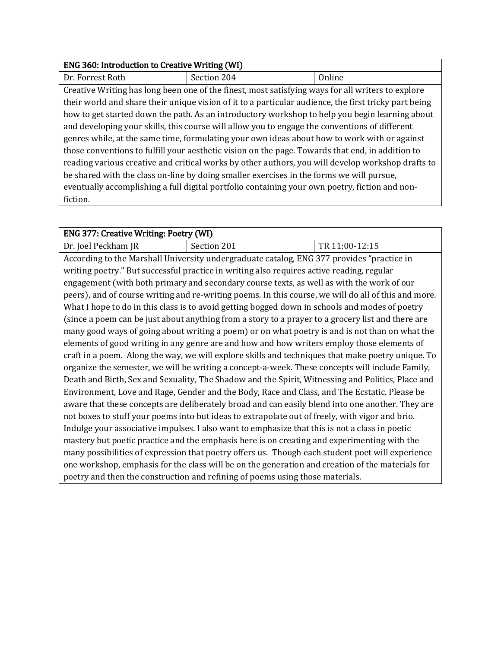# ENG 360: Introduction to Creative Writing (WI)<br>Dr. Forrest Roth Section 204

Dr. Forrest Roth Section 204 | Online

Creative Writing has long been one of the finest, most satisfying ways for all writers to explore their world and share their unique vision of it to a particular audience, the first tricky part being how to get started down the path. As an introductory workshop to help you begin learning about and developing your skills, this course will allow you to engage the conventions of different genres while, at the same time, formulating your own ideas about how to work with or against those conventions to fulfill your aesthetic vision on the page. Towards that end, in addition to reading various creative and critical works by other authors, you will develop workshop drafts to be shared with the class on-line by doing smaller exercises in the forms we will pursue, eventually accomplishing a full digital portfolio containing your own poetry, fiction and nonfiction.

| <b>ENG 377: Creative Writing: Poetry (WI)</b>                                                     |                                                                                                      |                |
|---------------------------------------------------------------------------------------------------|------------------------------------------------------------------------------------------------------|----------------|
| Dr. Joel Peckham JR                                                                               | Section 201                                                                                          | TR 11:00-12:15 |
|                                                                                                   | According to the Marshall University undergraduate catalog, ENG 377 provides "practice in            |                |
|                                                                                                   | writing poetry." But successful practice in writing also requires active reading, regular            |                |
|                                                                                                   | engagement (with both primary and secondary course texts, as well as with the work of our            |                |
|                                                                                                   | peers), and of course writing and re-writing poems. In this course, we will do all of this and more. |                |
|                                                                                                   | What I hope to do in this class is to avoid getting bogged down in schools and modes of poetry       |                |
|                                                                                                   | (since a poem can be just about anything from a story to a prayer to a grocery list and there are    |                |
|                                                                                                   | many good ways of going about writing a poem) or on what poetry is and is not than on what the       |                |
|                                                                                                   | elements of good writing in any genre are and how and how writers employ those elements of           |                |
| craft in a poem. Along the way, we will explore skills and techniques that make poetry unique. To |                                                                                                      |                |
| organize the semester, we will be writing a concept-a-week. These concepts will include Family,   |                                                                                                      |                |
| Death and Birth, Sex and Sexuality, The Shadow and the Spirit, Witnessing and Politics, Place and |                                                                                                      |                |
| Environment, Love and Rage, Gender and the Body, Race and Class, and The Ecstatic. Please be      |                                                                                                      |                |
|                                                                                                   | aware that these concepts are deliberately broad and can easily blend into one another. They are     |                |
|                                                                                                   | not boxes to stuff your poems into but ideas to extrapolate out of freely, with vigor and brio.      |                |
|                                                                                                   | Indulge your associative impulses. I also want to emphasize that this is not a class in poetic       |                |
|                                                                                                   | mastery but poetic practice and the emphasis here is on creating and experimenting with the          |                |
|                                                                                                   | many possibilities of expression that poetry offers us. Though each student poet will experience     |                |
|                                                                                                   | one workshop, emphasis for the class will be on the generation and creation of the materials for     |                |
|                                                                                                   | poetry and then the construction and refining of poems using those materials.                        |                |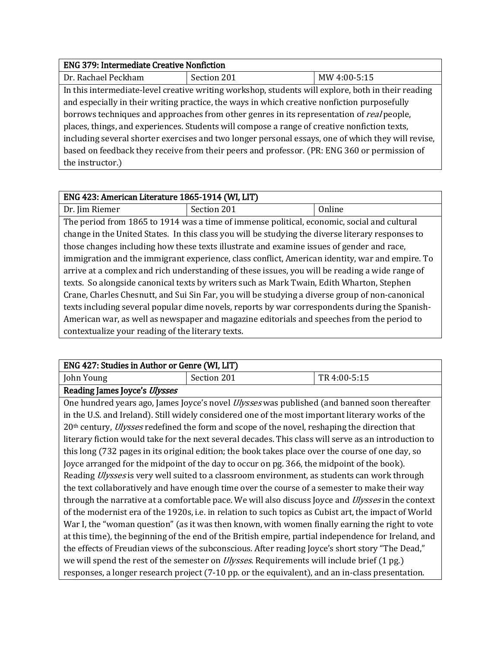| <b>ENG 379: Intermediate Creative Nonfiction</b>                                                   |                                                                                                    |              |
|----------------------------------------------------------------------------------------------------|----------------------------------------------------------------------------------------------------|--------------|
| Dr. Rachael Peckham                                                                                | Section 201                                                                                        | MW 4:00-5:15 |
|                                                                                                    | In this intermediate-level creative writing workshop, students will explore, both in their reading |              |
| and especially in their writing practice, the ways in which creative nonfiction purposefully       |                                                                                                    |              |
| borrows techniques and approaches from other genres in its representation of <i>real</i> people,   |                                                                                                    |              |
| places, things, and experiences. Students will compose a range of creative nonfiction texts,       |                                                                                                    |              |
| including several shorter exercises and two longer personal essays, one of which they will revise, |                                                                                                    |              |
| based on feedback they receive from their peers and professor. (PR: ENG 360 or permission of       |                                                                                                    |              |
| the instructor.)                                                                                   |                                                                                                    |              |

| ENG 423: American Literature 1865-1914 (WI, LIT)                                                |                                                                                                   |        |
|-------------------------------------------------------------------------------------------------|---------------------------------------------------------------------------------------------------|--------|
| Dr. Jim Riemer                                                                                  | Section 201                                                                                       | Online |
|                                                                                                 | The period from 1865 to 1914 was a time of immense political, economic, social and cultural       |        |
|                                                                                                 | change in the United States. In this class you will be studying the diverse literary responses to |        |
|                                                                                                 | those changes including how these texts illustrate and examine issues of gender and race,         |        |
| immigration and the immigrant experience, class conflict, American identity, war and empire. To |                                                                                                   |        |
| arrive at a complex and rich understanding of these issues, you will be reading a wide range of |                                                                                                   |        |
| texts. So alongside canonical texts by writers such as Mark Twain, Edith Wharton, Stephen       |                                                                                                   |        |
| Crane, Charles Chesnutt, and Sui Sin Far, you will be studying a diverse group of non-canonical |                                                                                                   |        |
| texts including several popular dime novels, reports by war correspondents during the Spanish-  |                                                                                                   |        |
|                                                                                                 | American war, as well as newspaper and magazine editorials and speeches from the period to        |        |
| contextualize your reading of the literary texts.                                               |                                                                                                   |        |

| ENG 427: Studies in Author or Genre (WI, LIT)                                                             |                                                                                                                  |              |
|-----------------------------------------------------------------------------------------------------------|------------------------------------------------------------------------------------------------------------------|--------------|
| John Young                                                                                                | Section 201                                                                                                      | TR 4:00-5:15 |
| Reading James Joyce's Ulysses                                                                             |                                                                                                                  |              |
|                                                                                                           | One hundred years ago, James Joyce's novel <i>Ulysses</i> was published (and banned soon thereafter              |              |
|                                                                                                           | in the U.S. and Ireland). Still widely considered one of the most important literary works of the                |              |
|                                                                                                           | 20 <sup>th</sup> century, <i>Ulysses</i> redefined the form and scope of the novel, reshaping the direction that |              |
|                                                                                                           | literary fiction would take for the next several decades. This class will serve as an introduction to            |              |
|                                                                                                           | this long (732 pages in its original edition; the book takes place over the course of one day, so                |              |
| Joyce arranged for the midpoint of the day to occur on pg. 366, the midpoint of the book).                |                                                                                                                  |              |
| Reading <i>Ulysses</i> is very well suited to a classroom environment, as students can work through       |                                                                                                                  |              |
| the text collaboratively and have enough time over the course of a semester to make their way             |                                                                                                                  |              |
| through the narrative at a comfortable pace. We will also discuss Joyce and <i>Ulysses</i> in the context |                                                                                                                  |              |
| of the modernist era of the 1920s, i.e. in relation to such topics as Cubist art, the impact of World     |                                                                                                                  |              |
| War I, the "woman question" (as it was then known, with women finally earning the right to vote           |                                                                                                                  |              |
|                                                                                                           | at this time), the beginning of the end of the British empire, partial independence for Ireland, and             |              |
| the effects of Freudian views of the subconscious. After reading Joyce's short story "The Dead,"          |                                                                                                                  |              |
|                                                                                                           | we will spend the rest of the semester on <i>Ulysses</i> . Requirements will include brief (1 pg.)               |              |
|                                                                                                           | responses, a longer research project (7-10 pp. or the equivalent), and an in-class presentation.                 |              |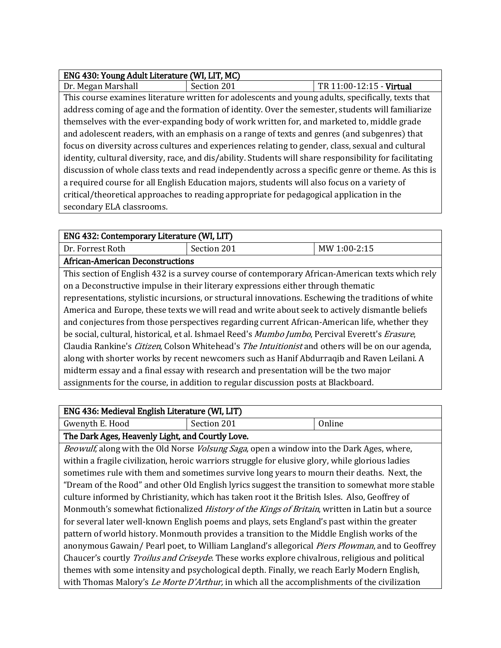| ENG 430: Young Adult Literature (WI, LIT, MC)                                                            |                                                                                                     |                          |
|----------------------------------------------------------------------------------------------------------|-----------------------------------------------------------------------------------------------------|--------------------------|
| Dr. Megan Marshall                                                                                       | Section 201                                                                                         | TR 11:00-12:15 - Virtual |
|                                                                                                          | This course examines literature written for adolescents and young adults, specifically, texts that  |                          |
|                                                                                                          | address coming of age and the formation of identity. Over the semester, students will familiarize   |                          |
|                                                                                                          | themselves with the ever-expanding body of work written for, and marketed to, middle grade          |                          |
| and adolescent readers, with an emphasis on a range of texts and genres (and subgenres) that             |                                                                                                     |                          |
| focus on diversity across cultures and experiences relating to gender, class, sexual and cultural        |                                                                                                     |                          |
| identity, cultural diversity, race, and dis/ability. Students will share responsibility for facilitating |                                                                                                     |                          |
|                                                                                                          | discussion of whole class texts and read independently across a specific genre or theme. As this is |                          |
|                                                                                                          | a required course for all English Education majors, students will also focus on a variety of        |                          |
|                                                                                                          | critical/theoretical approaches to reading appropriate for pedagogical application in the           |                          |
| secondary ELA classrooms.                                                                                |                                                                                                     |                          |

| ENG 432: Contemporary Literature (WI, LIT)                                                                      |                                                                                                  |              |
|-----------------------------------------------------------------------------------------------------------------|--------------------------------------------------------------------------------------------------|--------------|
| Dr. Forrest Roth                                                                                                | Section 201                                                                                      | MW 1:00-2:15 |
| <b>African-American Deconstructions</b>                                                                         |                                                                                                  |              |
|                                                                                                                 | This section of English 432 is a survey course of contemporary African-American texts which rely |              |
|                                                                                                                 | on a Deconstructive impulse in their literary expressions either through thematic                |              |
| representations, stylistic incursions, or structural innovations. Eschewing the traditions of white             |                                                                                                  |              |
| America and Europe, these texts we will read and write about seek to actively dismantle beliefs                 |                                                                                                  |              |
| and conjectures from those perspectives regarding current African-American life, whether they                   |                                                                                                  |              |
| be social, cultural, historical, et al. Ishmael Reed's <i>Mumbo Jumbo</i> , Percival Everett's <i>Erasure</i> , |                                                                                                  |              |
| Claudia Rankine's <i>Citizen</i> , Colson Whitehead's <i>The Intuitionist</i> and others will be on our agenda, |                                                                                                  |              |
|                                                                                                                 | along with shorter works by recent newcomers such as Hanif Abdurraqib and Raven Leilani. A       |              |
|                                                                                                                 | midterm essay and a final essay with research and presentation will be the two major             |              |
|                                                                                                                 | assignments for the course, in addition to regular discussion posts at Blackboard.               |              |

# ENG 436: Medieval English Literature (WI, LIT)

֦

| Gwenyth E. Hood                                  | Section 201 | Online |
|--------------------------------------------------|-------------|--------|
| The Dark Ages, Heavenly Light, and Courtly Love. |             |        |

Beowulf, along with the Old Norse Volsung Saga, open a window into the Dark Ages, where, within a fragile civilization, heroic warriors struggle for elusive glory, while glorious ladies sometimes rule with them and sometimes survive long years to mourn their deaths. Next, the "Dream of the Rood" and other Old English lyrics suggest the transition to somewhat more stable culture informed by Christianity, which has taken root it the British Isles. Also, Geoffrey of Monmouth's somewhat fictionalized *History of the Kings of Britain*, written in Latin but a source for several later well-known English poems and plays, sets England's past within the greater pattern of world history. Monmouth provides a transition to the Middle English works of the anonymous Gawain/ Pearl poet, to William Langland's allegorical Piers Plowman, and to Geoffrey Chaucer's courtly Troilus and Criseyde. These works explore chivalrous, religious and political themes with some intensity and psychological depth. Finally, we reach Early Modern English, with Thomas Malory's Le Morte D'Arthur, in which all the accomplishments of the civilization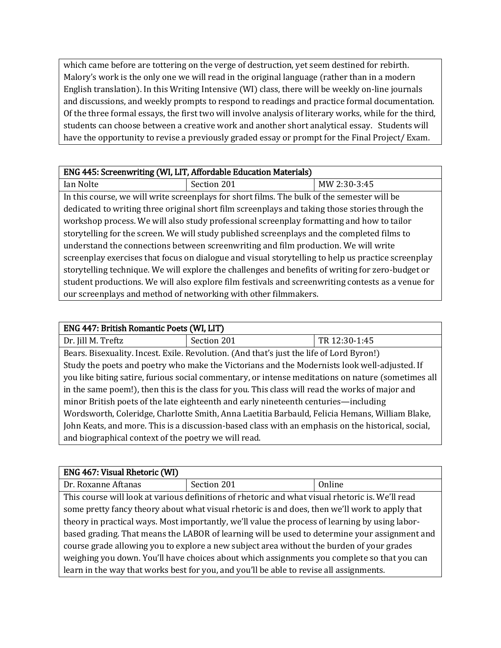which came before are tottering on the verge of destruction, yet seem destined for rebirth. Malory's work is the only one we will read in the original language (rather than in a modern English translation). In this Writing Intensive (WI) class, there will be weekly on-line journals and discussions, and weekly prompts to respond to readings and practice formal documentation. Of the three formal essays, the first two will involve analysis of literary works, while for the third, students can choose between a creative work and another short analytical essay. Students will have the opportunity to revise a previously graded essay or prompt for the Final Project/ Exam.

## ENG 445: Screenwriting (WI, LIT, Affordable Education Materials)

| Ian Nolte                                                                                   | Section 201 | MW 2:30-3:45 |
|---------------------------------------------------------------------------------------------|-------------|--------------|
| In this course we will write screenplays for short films. The bully of the semester will be |             |              |

In this course, we will write screenplays for short films. The bulk of the semester will be dedicated to writing three original short film screenplays and taking those stories through the workshop process. We will also study professional screenplay formatting and how to tailor storytelling for the screen. We will study published screenplays and the completed films to understand the connections between screenwriting and film production. We will write screenplay exercises that focus on dialogue and visual storytelling to help us practice screenplay storytelling technique. We will explore the challenges and benefits of writing for zero-budget or student productions. We will also explore film festivals and screenwriting contests as a venue for our screenplays and method of networking with other filmmakers.

### ENG 447: British Romantic Poets (WI, LIT)

j

j

| Dr. Jill M. Treftz                                                                              | Section 201                                                                                        | TR 12:30-1:45 |
|-------------------------------------------------------------------------------------------------|----------------------------------------------------------------------------------------------------|---------------|
|                                                                                                 | Bears. Bisexuality. Incest. Exile. Revolution. (And that's just the life of Lord Byron!)           |               |
|                                                                                                 | Study the poets and poetry who make the Victorians and the Modernists look well-adjusted. If       |               |
|                                                                                                 | you like biting satire, furious social commentary, or intense meditations on nature (sometimes all |               |
| in the same poem!), then this is the class for you. This class will read the works of major and |                                                                                                    |               |
| minor British poets of the late eighteenth and early nineteenth centuries—including             |                                                                                                    |               |
|                                                                                                 | Wordsworth, Coleridge, Charlotte Smith, Anna Laetitia Barbauld, Felicia Hemans, William Blake,     |               |
|                                                                                                 | John Keats, and more. This is a discussion-based class with an emphasis on the historical, social, |               |
| and biographical context of the poetry we will read.                                            |                                                                                                    |               |

## l, ENG 467: Visual Rhetoric (WI) Dr. Roxanne Aftanas Section 201 | Online This course will look at various definitions of rhetoric and what visual rhetoric is. We'll read some pretty fancy theory about what visual rhetoric is and does, then we'll work to apply that theory in practical ways. Most importantly, we'll value the process of learning by using laborbased grading. That means the LABOR of learning will be used to determine your assignment and course grade allowing you to explore a new subject area without the burden of your grades weighing you down. You'll have choices about which assignments you complete so that you can learn in the way that works best for you, and you'll be able to revise all assignments.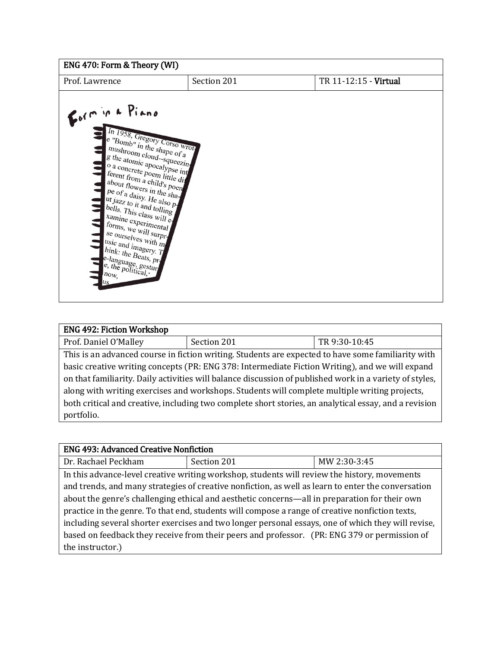| ENG 470: Form & Theory (WI)                                                                                                                                                                                                                                                                                                                                                                                                                                                                                                                                                              |             |                       |  |  |
|------------------------------------------------------------------------------------------------------------------------------------------------------------------------------------------------------------------------------------------------------------------------------------------------------------------------------------------------------------------------------------------------------------------------------------------------------------------------------------------------------------------------------------------------------------------------------------------|-------------|-----------------------|--|--|
| Prof. Lawrence                                                                                                                                                                                                                                                                                                                                                                                                                                                                                                                                                                           | Section 201 | TR 11-12:15 - Virtual |  |  |
| Formina Piano<br>In 1958, Gregory Corso wrote<br>$e$ "Bomb" in the shape of a<br>mushroom cloud-squeezin-<br>$\downarrow$ g the atomic apocalypse int<br>lo a concrete poem little di<br>ferent from a child's poen<br>$\mu$ about flowers in the sha-<br>$\mu$ pe of a daisy. He also p-<br>$\int_0^{\infty} u t \, j a z$ to it and tolling /<br>bells. This class will $\epsilon$<br>$\left  \frac{Xa_{\text{min}}}{X} \right $ experimental<br>forms, we will surpr-<br>se ourselves with $m$<br>usic and imagery. T<br>hink: the Beats, pr-<br>e-language, gestur<br>u <sub>s</sub> |             |                       |  |  |

| <b>ENG 492: Fiction Workshop</b>                                                                        |             |               |  |  |  |
|---------------------------------------------------------------------------------------------------------|-------------|---------------|--|--|--|
| Prof. Daniel O'Malley                                                                                   | Section 201 | TR 9:30-10:45 |  |  |  |
| This is an advanced course in fiction writing. Students are expected to have some familiarity with      |             |               |  |  |  |
| basic creative writing concepts (PR: ENG 378: Intermediate Fiction Writing), and we will expand         |             |               |  |  |  |
| on that familiarity. Daily activities will balance discussion of published work in a variety of styles, |             |               |  |  |  |
| along with writing exercises and workshops. Students will complete multiple writing projects,           |             |               |  |  |  |
| both critical and creative, including two complete short stories, an analytical essay, and a revision   |             |               |  |  |  |
| portfolio.                                                                                              |             |               |  |  |  |

### ENG 493: Advanced Creative Nonfiction

j

| Dr. Rachael Peckham                                                                        | Section 201 | MW 2:30-3:45 |  |  |
|--------------------------------------------------------------------------------------------|-------------|--------------|--|--|
| In this advance-level creative writing workshop students will review the history movements |             |              |  |  |

In this advance-level creative writing workshop, students will review the history, movements and trends, and many strategies of creative nonfiction, as well as learn to enter the conversation about the genre's challenging ethical and aesthetic concerns—all in preparation for their own practice in the genre. To that end, students will compose a range of creative nonfiction texts, including several shorter exercises and two longer personal essays, one of which they will revise, based on feedback they receive from their peers and professor. (PR: ENG 379 or permission of the instructor.)